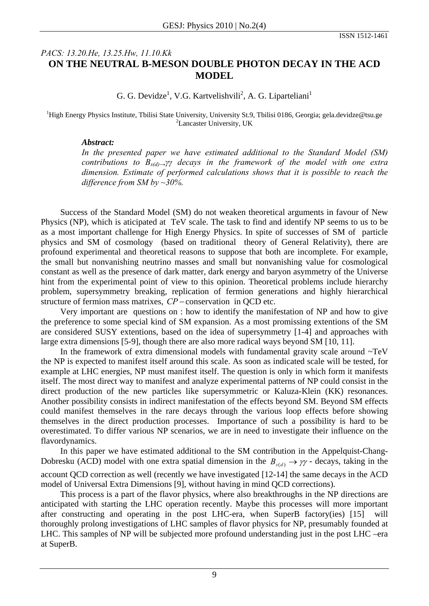## *PACS: 13.20.He, 13.25.Hw, 11.10.Kk*  **ON THE NEUTRAL B-MESON DOUBLE PHOTON DECAY IN THE ACD MODEL**

G. G. Devidze<sup>1</sup>, V.G. Kartvelishvili<sup>2</sup>, A. G. Liparteliani<sup>1</sup>

<sup>1</sup>High Energy Physics Institute, Tbilisi State University, University St.9, Tbilisi 0186, Georgia; gela.devidze@tsu.ge <sup>2</sup> Lancaster University, UK

## *Abstract:*

*In the presented paper we have estimated additional to the Standard Model (SM) contributions to Bs(d)→γγ decays in the framework of the model with one extra dimension. Estimate of performed calculations shows that it is possible to reach the difference from SM by ~30%.* 

Success of the Standard Model (SM) do not weaken theoretical arguments in favour of New Physics (NP), which is aticipated at TeV scale. The task to find and identify NP seems to us to be as a most important challenge for High Energy Physics. In spite of successes of SM of particle physics and SM of cosmology (based on traditional theory of General Relativity), there are profound experimental and theoretical reasons to suppose that both are incomplete. For example, the small but nonvanishing neutrino masses and small but nonvanishing value for cosmological constant as well as the presence of dark matter, dark energy and baryon asymmetry of the Universe hint from the experimental point of view to this opinion. Theoretical problems include hierarchy problem, supersymmetry breaking, replication of fermion generations and highly hierarchical structure of fermion mass matrixes, *CP* − conservation in QCD etc.

Very important are questions on : how to identify the manifestation of NP and how to give the preference to some special kind of SM expansion. As a most promissing extentions of the SM are considered SUSY extentions, based on the idea of supersymmetry [1-4] and approaches with large extra dimensions [5-9], though there are also more radical ways beyond SM [10, 11].

In the framework of extra dimensional models with fundamental gravity scale around  $\sim TeV$ the NP is expected to manifest itself around this scale. As soon as indicated scale will be tested, for example at LHC energies, NP must manifest itself. The question is only in which form it manifests itself. The most direct way to manifest and analyze experimental patterns of NP could consist in the direct production of the new particles like supersymmetric or Kaluza-Klein (KK) resonances. Another possibility consists in indirect manifestation of the effects beyond SM. Beyond SM effects could manifest themselves in the rare decays through the various loop effects before showing themselves in the direct production processes. Importance of such a possibility is hard to be overestimated. To differ various NP scenarios, we are in need to investigate their influence on the flavordynamics.

In this paper we have estimated additional to the SM contribution in the Appelquist-Chang-Dobresku (ACD) model with one extra spatial dimension in the  $B_{s(d)} \to \gamma \gamma$  - decays, taking in the account QCD correction as well (recently we have investigated [12-14] the same decays in the ACD model of Universal Extra Dimensions [9], without having in mind QCD corrections).

This process is a part of the flavor physics, where also breakthroughs in the NP directions are anticipated with starting the LHC operation recently. Maybe this processes will more important after constructing and operating in the post LHC-era, when SuperB factory(ies) [15] will thoroughly prolong investigations of LHC samples of flavor physics for NP, presumably founded at LHC. This samples of NP will be subjected more profound understanding just in the post LHC –era at SuperB.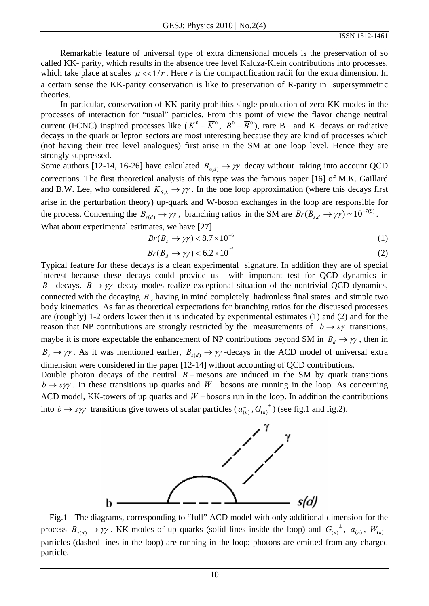Remarkable feature of universal type of extra dimensional models is the preservation of so called KK- parity, which results in the absence tree level Kaluza-Klein contributions into processes, which take place at scales  $\mu \ll 1/r$ . Here *r* is the compactification radii for the extra dimension. In a certain sense the KK-parity conservation is like to preservation of R-parity in supersymmetric theories.

In particular, conservation of KK-parity prohibits single production of zero KK-modes in the processes of interaction for "usual" particles. From this point of view the flavor change neutral current (FCNC) inspired processes like  $(K^0 - \overline{K}^0, B^0 - \overline{B}^0)$ , rare B– and K–decays or radiative decays in the quark or lepton sectors are most interesting because they are kind of processes which (not having their tree level analogues) first arise in the SM at one loop level. Hence they are strongly suppressed.

Some authors [12-14, 16-26] have calculated  $B_{s(d)} \to \gamma \gamma$  decay without taking into account QCD corrections. The first theoretical analysis of this type was the famous paper [16] of M.K. Gaillard and B.W. Lee, who considered  $K_{s,L} \to \gamma \gamma$ . In the one loop approximation (where this decays first arise in the perturbation theory) up-quark and W-boson exchanges in the loop are responsible for the process. Concerning the  $B_{s(d)} \to \gamma \gamma$ , branching ratios in the SM are  $Br(B_{s,d} \to \gamma \gamma) \sim 10^{-7(9)}$ . What about experimental estimates, we have [27]

$$
Br(B_s \to \gamma \gamma) < 8.7 \times 10^{-6} \tag{1}
$$

$$
Br(B_d \to \gamma \gamma) < 6.2 \times 10^{-7}
$$
 (2)

Typical feature for these decays is a clean experimental signature. In addition they are of special interest because these decays could provide us with important test for QCD dynamics in *B* – decays. *B*  $\rightarrow \gamma\gamma$  decay modes realize exceptional situation of the nontrivial QCD dynamics, connected with the decaying *B* , having in mind completely hadronless final states and simple two body kinematics. As far as theoretical expectations for branching ratios for the discussed processes are (roughly) 1-2 orders lower then it is indicated by experimental estimates (1) and (2) and for the reason that NP contributions are strongly restricted by the measurements of  $b \rightarrow s\gamma$  transitions, maybe it is more expectable the enhancement of NP contributions beyond SM in  $B_d \to \gamma \gamma$ , then in  $B_s \to \gamma \gamma$ . As it was mentioned earlier,  $B_{s(d)} \to \gamma \gamma$ -decays in the ACD model of universal extra dimension were considered in the paper [12-14] without accounting of QCD contributions.

Double photon decays of the neutral  $B$  − mesons are induced in the SM by quark transitions  $b \rightarrow s\gamma\gamma$ . In these transitions up quarks and *W* −bosons are running in the loop. As concerning ACD model, KK-towers of up quarks and *W* −bosons run in the loop. In addition the contributions into  $b \rightarrow s\gamma\gamma$  transitions give towers of scalar particles ( $a_{(n)}^{\pm}$ ,  $G_{(n)}^{\pm}$ ) (see fig.1 and fig.2).



 Fig.1 The diagrams, corresponding to "full" ACD model with only additional dimension for the process  $B_{s(d)} \to \gamma \gamma$ . KK-modes of up quarks (solid lines inside the loop) and  $G_{(n)}^{\qquad \pm}$ ,  $a_{(n)}^{\pm}$ ,  $W_{(n)}$ particles (dashed lines in the loop) are running in the loop; photons are emitted from any charged particle.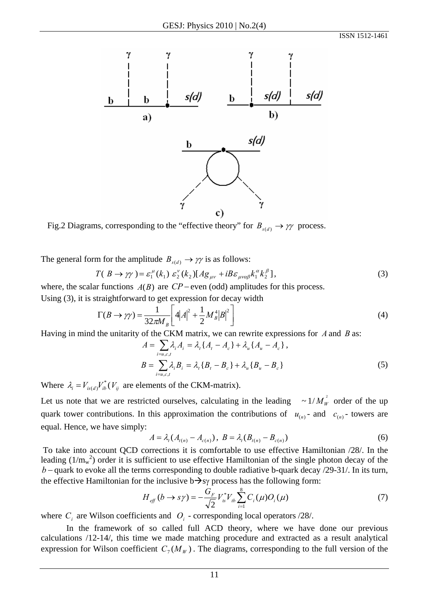

Fig.2 Diagrams, corresponding to the "effective theory" for  $B_{s(d)} \to \gamma \gamma$  process.

The general form for the amplitude  $B_{\mathfrak{p}(d)} \to \gamma \gamma$  is as follows:

$$
T(B \to \gamma \gamma) = \varepsilon_1^{\mu}(k_1) \varepsilon_2^{\nu}(k_2) [Ag_{\mu\nu} + i B \varepsilon_{\mu\nu\alpha\beta} k_1^{\alpha} k_2^{\beta}], \qquad (3)
$$

where, the scalar functions  $A(B)$  are  $CP$  – even (odd) amplitudes for this process. Using (3), it is straightforward to get expression for decay width

$$
\Gamma(B \to \gamma \gamma) = \frac{1}{32\pi M_B} \left[ 4|A|^2 + \frac{1}{2} M_B^4 |B|^2 \right]
$$
 (4)

Having in mind the unitarity of the CKM matrix, we can rewrite expressions for *A* and *B* as:

$$
A = \sum_{i=u,c,t} \lambda_i A_i = \lambda_t \{A_t - A_c\} + \lambda_u \{A_u - A_c\},
$$
  
\n
$$
B = \sum_{i=u,c,t} \lambda_i B_i = \lambda_t \{B_t - B_c\} + \lambda_u \{B_u - B_c\}
$$
 (5)

Where  $\lambda_i = V_{i s(d)} V_{ib}^* (V_{ij}$  are elements of the CKM-matrix).

Let us note that we are restricted ourselves, calculating in the leading  $\sim 1/M_W^2$  order of the up quark tower contributions. In this approximation the contributions of  $u_{(n)}$ - and  $c_{(n)}$ - towers are equal. Hence, we have simply:

$$
A = \lambda_t (A_{t(n)} - A_{c(n)}), \ B = \lambda_t (B_{t(n)} - B_{c(n)})
$$
 (6)

 To take into account QCD corrections it is comfortable to use effective Hamiltonian /28/. In the leading  $(1/m_w^2)$  order it is sufficient to use effective Hamiltonian of the single photon decay of the *b* − quark to evoke all the terms corresponding to double radiative b-quark decay /29-31/. In its turn, the effective Hamiltonian for the inclusive  $b \rightarrow sy$  process has the following form:

$$
H_{\text{eff}}(b \to s\gamma) = -\frac{G_F}{\sqrt{2}} V_{ts}^* V_{tb} \sum_{i=1}^8 C_i(\mu) O_i(\mu)
$$
 (7)

where  $C_i$  are Wilson coefficients and  $O_i$  - corresponding local operators  $/28$ .

In the framework of so called full ACD theory, where we have done our previous calculations /12-14/, this time we made matching procedure and extracted as a result analytical expression for Wilson coefficient  $C_7(M_W)$ . The diagrams, corresponding to the full version of the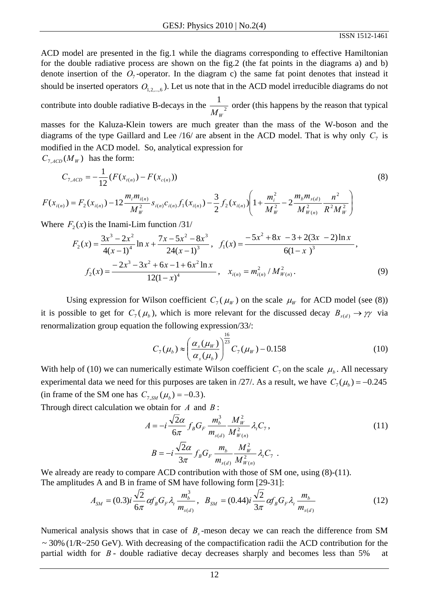ACD model are presented in the fig.1 while the diagrams corresponding to effective Hamiltonian for the double radiative process are shown on the fig.2 (the fat points in the diagrams a) and b) denote insertion of the  $O_7$ -operator. In the diagram c) the same fat point denotes that instead it should be inserted operators  $O_{1,2,...,6}$ ). Let us note that in the ACD model irreducible diagrams do not

contribute into double radiative B-decays in the  $\frac{1}{\sqrt{1-\lambda^2}}$ 1  $M_{W}$ order (this happens by the reason that typical

masses for the Kaluza-Klein towers are much greater than the mass of the W-boson and the diagrams of the type Gaillard and Lee  $/16/$  are absent in the ACD model. That is why only  $C_7$  is modified in the ACD model. So, analytical expression for

 $C_{7.4CD}(M_W)$  has the form:

$$
C_{7,ACD} = -\frac{1}{12} (F(x_{t(n)}) - F(x_{c(n)}))
$$
\n(8)

$$
F(x_{i(n)}) = F_2(x_{i(n)}) - 12 \frac{m_i m_{i(n)}}{M_W^2} s_{i(n)} c_{i(n)} f_1(x_{i(n)}) - \frac{3}{2} f_2(x_{i(n)}) \left(1 + \frac{m_i^2}{M_W^2} - 2 \frac{m_b m_{s(d)}}{M_{W(n)}^2} \frac{n^2}{R^2 M_W^2}\right)
$$

Where  $F_2(x)$  is the Inami-Lim function  $/31/$ 

$$
F_2(x) = \frac{3x^3 - 2x^2}{4(x - 1)^4} \ln x + \frac{7x - 5x^2 - 8x^3}{24(x - 1)^3}, \quad f_1(x) = \frac{-5x^2 + 8x - 3 + 2(3x - 2)\ln x}{6(1 - x - 3)^3},
$$

$$
f_2(x) = \frac{-2x^3 - 3x^2 + 6x - 1 + 6x^2 \ln x}{12(1 - x)^4}, \quad x_{i(n)} = m_{i(n)}^2 / M_{W(n)}^2.
$$
(9)

Using expression for Wilson coefficient  $C_7(\mu_W)$  on the scale  $\mu_W$  for ACD model (see (8)) it is possible to get for  $C_7(\mu_b)$ , which is more relevant for the discussed decay  $B_{s(d)} \to \gamma \gamma$  via renormalization group equation the following expression/33/:

$$
C_7(\mu_b) \approx \left(\frac{\alpha_s(\mu_W)}{\alpha_s(\mu_b)}\right)^{\frac{16}{23}} C_7(\mu_W) - 0.158
$$
 (10)

With help of (10) we can numerically estimate Wilson coefficient  $C_7$  on the scale  $\mu_b$ . All necessary experimental data we need for this purposes are taken in /27/. As a result, we have  $C_7(\mu_b) = -0.245$ (in frame of the SM one has  $C_{7, SM}(\mu_b) = -0.3$ ).

Through direct calculation we obtain for *A* and *B* :

$$
A = -i \frac{\sqrt{2}\alpha}{6\pi} f_B G_F \frac{m_b^3}{m_{s(d)}} \frac{M_W^2}{M_{W(n)}^2} \lambda_i C_7,
$$
  
\n
$$
B = -i \frac{\sqrt{2}\alpha}{3\pi} f_B G_F \frac{m_b}{m_{s(d)}} \frac{M_W^2}{M_{W(n)}^2} \lambda_i C_7.
$$
\n(11)

We already are ready to compare ACD contribution with those of SM one, using  $(8)-(11)$ . The amplitudes A and B in frame of SM have following form [29-31]:

$$
A_{SM} = (0.3)i\frac{\sqrt{2}}{6\pi}\alpha f_B G_F \lambda_t \frac{m_b^3}{m_{s(d)}}, \quad B_{SM} = (0.44)i\frac{\sqrt{2}}{3\pi}\alpha f_B G_F \lambda_t \frac{m_b}{m_{s(d)}} \tag{12}
$$

Numerical analysis shows that in case of  $B_s$ -meson decay we can reach the difference from SM  $\sim$  30% (1/R $\sim$ 250 GeV). With decreasing of the compactification radii the ACD contribution for the partial width for *B* - double radiative decay decreases sharply and becomes less than 5% at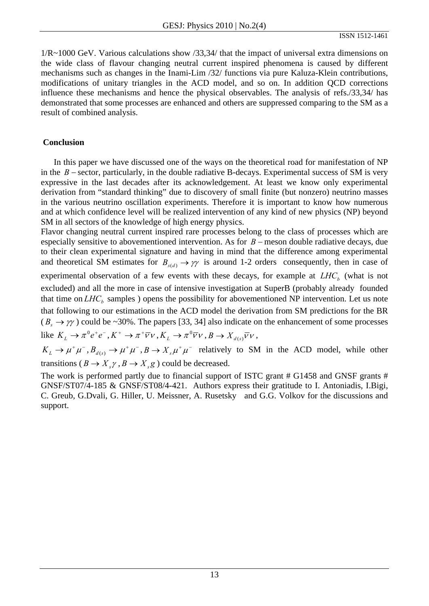1/R~1000 GeV. Various calculations show /33,34/ that the impact of universal extra dimensions on the wide class of flavour changing neutral current inspired phenomena is caused by different mechanisms such as changes in the Inami-Lim /32/ functions via pure Kaluza-Klein contributions, modifications of unitary triangles in the ACD model, and so on. In addition QCD corrections influence these mechanisms and hence the physical observables. The analysis of refs./33,34/ has demonstrated that some processes are enhanced and others are suppressed comparing to the SM as a result of combined analysis.

## **Conclusion**

 In this paper we have discussed one of the ways on the theoretical road for manifestation of NP in the  $B$  – sector, particularly, in the double radiative B-decays. Experimental success of SM is very expressive in the last decades after its acknowledgement. At least we know only experimental derivation from "standard thinking" due to discovery of small finite (but nonzero) neutrino masses in the various neutrino oscillation experiments. Therefore it is important to know how numerous and at which confidence level will be realized intervention of any kind of new physics (NP) beyond SM in all sectors of the knowledge of high energy physics.

Flavor changing neutral current inspired rare processes belong to the class of processes which are especially sensitive to abovementioned intervention. As for *B* − meson double radiative decays, due to their clean experimental signature and having in mind that the difference among experimental and theoretical SM estimates for  $B_{s(d)} \to \gamma \gamma$  is around 1-2 orders consequently, then in case of experimental observation of a few events with these decays, for example at  $LHC<sub>b</sub>$  (what is not excluded) and all the more in case of intensive investigation at SuperB (probably already founded that time on  $LHC<sub>b</sub>$  samples ) opens the possibility for abovementioned NP intervention. Let us note that following to our estimations in the ACD model the derivation from SM predictions for the BR  $(B_s \to \gamma \gamma)$  could be ~30%. The papers [33, 34] also indicate on the enhancement of some processes like  $K_L \to \pi^0 e^+ e^-$ ,  $K^+ \to \pi^+ \overline{\nu} \nu$ ,  $K_L \to \pi^0 \overline{\nu} \nu$ ,  $B \to X_{d(s)} \overline{\nu} \nu$ ,

 $K_L \to \mu^+ \mu^-$ ,  $B_{d(s)} \to \mu^+ \mu^-$ ,  $B \to X_s \mu^+ \mu^-$  relatively to SM in the ACD model, while other transitions ( $B \to X_s \gamma$ ,  $B \to X_s g$ ) could be decreased.

The work is performed partly due to financial support of ISTC grant # G1458 and GNSF grants # GNSF/ST07/4-185 & GNSF/ST08/4-421. Authors express their gratitude to I. Antoniadis, I.Bigi, C. Greub, G.Dvali, G. Hiller, U. Meissner, A. Rusetsky and G.G. Volkov for the discussions and support.